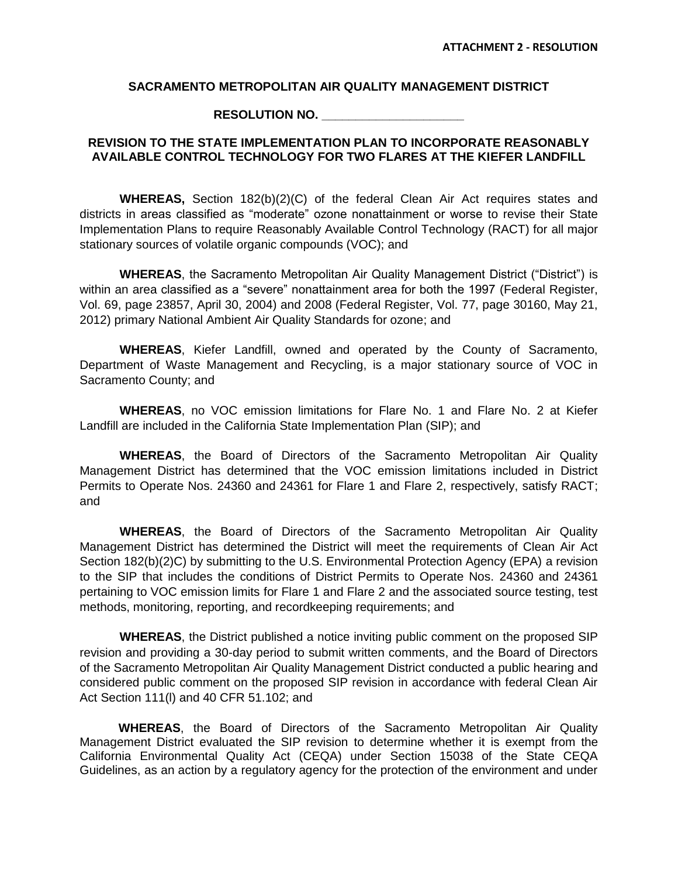## **SACRAMENTO METROPOLITAN AIR QUALITY MANAGEMENT DISTRICT**

**RESOLUTION NO. \_\_\_\_\_\_\_\_\_\_\_\_\_\_\_\_\_\_\_\_\_**

## **REVISION TO THE STATE IMPLEMENTATION PLAN TO INCORPORATE REASONABLY AVAILABLE CONTROL TECHNOLOGY FOR TWO FLARES AT THE KIEFER LANDFILL**

**WHEREAS,** Section 182(b)(2)(C) of the federal Clean Air Act requires states and districts in areas classified as "moderate" ozone nonattainment or worse to revise their State Implementation Plans to require Reasonably Available Control Technology (RACT) for all major stationary sources of volatile organic compounds (VOC); and

WHEREAS, the Sacramento Metropolitan Air Quality Management District ("District") is within an area classified as a "severe" nonattainment area for both the 1997 (Federal Register, Vol. 69, page 23857, April 30, 2004) and 2008 (Federal Register, Vol. 77, page 30160, May 21, 2012) primary National Ambient Air Quality Standards for ozone; and

**WHEREAS**, Kiefer Landfill, owned and operated by the County of Sacramento, Department of Waste Management and Recycling, is a major stationary source of VOC in Sacramento County; and

**WHEREAS**, no VOC emission limitations for Flare No. 1 and Flare No. 2 at Kiefer Landfill are included in the California State Implementation Plan (SIP); and

**WHEREAS**, the Board of Directors of the Sacramento Metropolitan Air Quality Management District has determined that the VOC emission limitations included in District Permits to Operate Nos. 24360 and 24361 for Flare 1 and Flare 2, respectively, satisfy RACT; and

**WHEREAS**, the Board of Directors of the Sacramento Metropolitan Air Quality Management District has determined the District will meet the requirements of Clean Air Act Section 182(b)(2)C) by submitting to the U.S. Environmental Protection Agency (EPA) a revision to the SIP that includes the conditions of District Permits to Operate Nos. 24360 and 24361 pertaining to VOC emission limits for Flare 1 and Flare 2 and the associated source testing, test methods, monitoring, reporting, and recordkeeping requirements; and

**WHEREAS**, the District published a notice inviting public comment on the proposed SIP revision and providing a 30-day period to submit written comments, and the Board of Directors of the Sacramento Metropolitan Air Quality Management District conducted a public hearing and considered public comment on the proposed SIP revision in accordance with federal Clean Air Act Section 111(l) and 40 CFR 51.102; and

**WHEREAS**, the Board of Directors of the Sacramento Metropolitan Air Quality Management District evaluated the SIP revision to determine whether it is exempt from the California Environmental Quality Act (CEQA) under Section 15038 of the State CEQA Guidelines, as an action by a regulatory agency for the protection of the environment and under